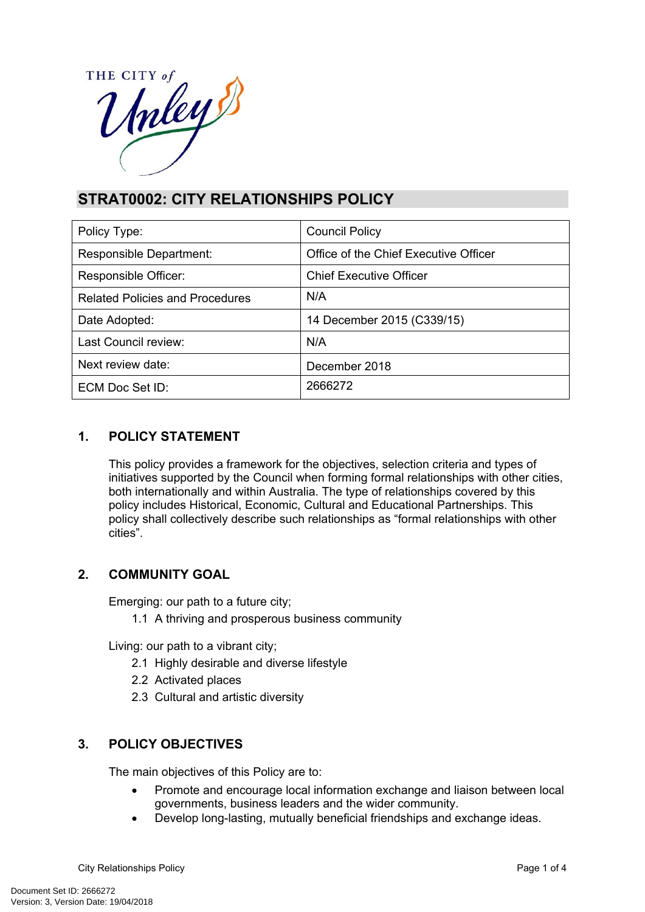

# **STRAT0002: CITY RELATIONSHIPS POLICY**

| Policy Type:                           | <b>Council Policy</b>                 |
|----------------------------------------|---------------------------------------|
| Responsible Department:                | Office of the Chief Executive Officer |
| Responsible Officer:                   | <b>Chief Executive Officer</b>        |
| <b>Related Policies and Procedures</b> | N/A                                   |
| Date Adopted:                          | 14 December 2015 (C339/15)            |
| Last Council review:                   | N/A                                   |
| Next review date:                      | December 2018                         |
| ECM Doc Set ID:                        | 2666272                               |

# **1. POLICY STATEMENT**

This policy provides a framework for the objectives, selection criteria and types of initiatives supported by the Council when forming formal relationships with other cities, both internationally and within Australia. The type of relationships covered by this policy includes Historical, Economic, Cultural and Educational Partnerships. This policy shall collectively describe such relationships as "formal relationships with other cities".

# **2. COMMUNITY GOAL**

Emerging: our path to a future city;

1.1 A thriving and prosperous business community

Living: our path to a vibrant city;

- 2.1 Highly desirable and diverse lifestyle
- 2.2 Activated places
- 2.3 Cultural and artistic diversity

# **3. POLICY OBJECTIVES**

The main objectives of this Policy are to:

- Promote and encourage local information exchange and liaison between local governments, business leaders and the wider community.
- Develop long-lasting, mutually beneficial friendships and exchange ideas.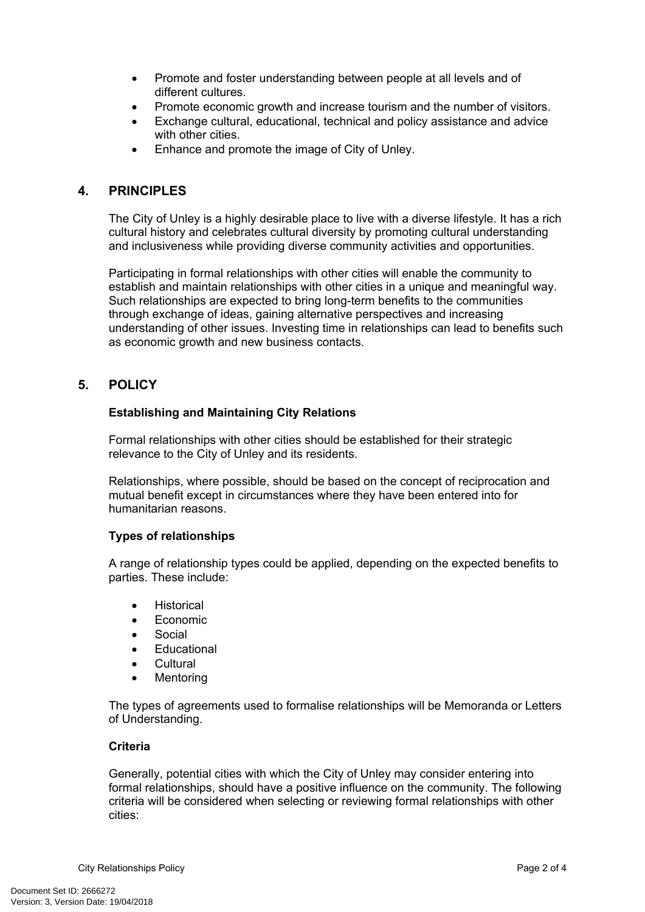- Promote and foster understanding between people at all levels and of different cultures.
- Promote economic growth and increase tourism and the number of visitors.
- Exchange cultural, educational, technical and policy assistance and advice with other cities.
- Enhance and promote the image of City of Unley.

# **4. PRINCIPLES**

The City of Unley is a highly desirable place to live with a diverse lifestyle. It has a rich cultural history and celebrates cultural diversity by promoting cultural understanding and inclusiveness while providing diverse community activities and opportunities.

Participating in formal relationships with other cities will enable the community to establish and maintain relationships with other cities in a unique and meaningful way. Such relationships are expected to bring long-term benefits to the communities through exchange of ideas, gaining alternative perspectives and increasing understanding of other issues. Investing time in relationships can lead to benefits such as economic growth and new business contacts.

### **5. POLICY**

### **Establishing and Maintaining City Relations**

Formal relationships with other cities should be established for their strategic relevance to the City of Unley and its residents.

Relationships, where possible, should be based on the concept of reciprocation and mutual benefit except in circumstances where they have been entered into for humanitarian reasons.

### **Types of relationships**

A range of relationship types could be applied, depending on the expected benefits to parties. These include:

- Historical
- Economic
- Social
- **Educational**
- Cultural
- Mentoring

The types of agreements used to formalise relationships will be Memoranda or Letters of Understanding.

### **Criteria**

Generally, potential cities with which the City of Unley may consider entering into formal relationships, should have a positive influence on the community. The following criteria will be considered when selecting or reviewing formal relationships with other cities: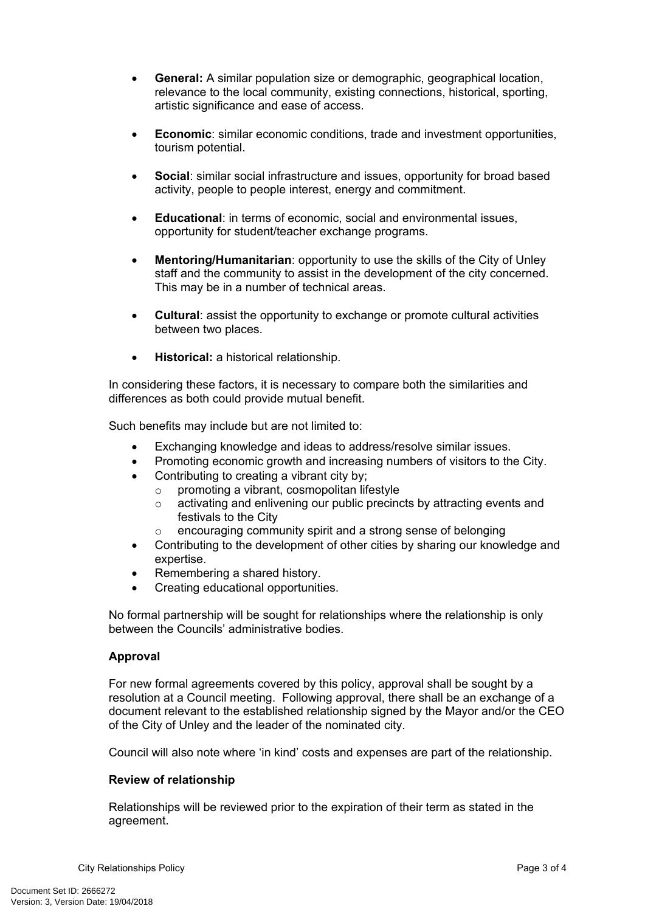- **General:** A similar population size or demographic, geographical location, relevance to the local community, existing connections, historical, sporting, artistic significance and ease of access.
- **Economic**: similar economic conditions, trade and investment opportunities, tourism potential.
- **Social**: similar social infrastructure and issues, opportunity for broad based activity, people to people interest, energy and commitment.
- **Educational**: in terms of economic, social and environmental issues, opportunity for student/teacher exchange programs.
- **Mentoring/Humanitarian**: opportunity to use the skills of the City of Unley staff and the community to assist in the development of the city concerned. This may be in a number of technical areas.
- **Cultural**: assist the opportunity to exchange or promote cultural activities between two places.
- **Historical:** a historical relationship.

In considering these factors, it is necessary to compare both the similarities and differences as both could provide mutual benefit.

Such benefits may include but are not limited to:

- Exchanging knowledge and ideas to address/resolve similar issues.
- Promoting economic growth and increasing numbers of visitors to the City.
- Contributing to creating a vibrant city by:
	- o promoting a vibrant, cosmopolitan lifestyle
	- o activating and enlivening our public precincts by attracting events and festivals to the City
	- encouraging community spirit and a strong sense of belonging
- Contributing to the development of other cities by sharing our knowledge and expertise.
- Remembering a shared history.
- Creating educational opportunities.

No formal partnership will be sought for relationships where the relationship is only between the Councils' administrative bodies.

#### **Approval**

For new formal agreements covered by this policy, approval shall be sought by a resolution at a Council meeting. Following approval, there shall be an exchange of a document relevant to the established relationship signed by the Mayor and/or the CEO of the City of Unley and the leader of the nominated city.

Council will also note where 'in kind' costs and expenses are part of the relationship.

#### **Review of relationship**

Relationships will be reviewed prior to the expiration of their term as stated in the agreement.